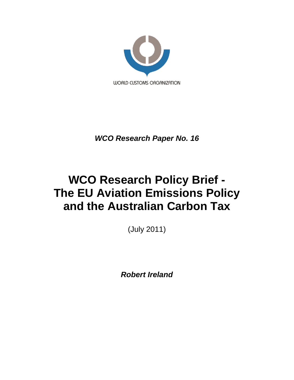

*WCO Research Paper No. 16*

# **WCO Research Policy Brief - The EU Aviation Emissions Policy and the Australian Carbon Tax**

(July 2011)

*Robert Ireland*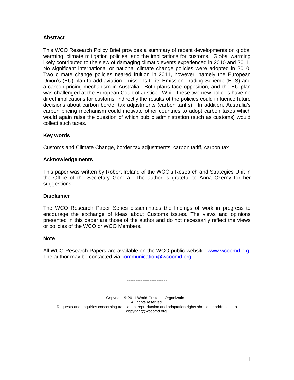# **Abstract**

This WCO Research Policy Brief provides a summary of recent developments on global warming, climate mitigation policies, and the implications for customs. Global warming likely contributed to the slew of damaging climatic events experienced in 2010 and 2011. No significant international or national climate change policies were adopted in 2010. Two climate change policies neared fruition in 2011, however, namely the European Union's (EU) plan to add aviation emissions to its Emission Trading Scheme (ETS) and a carbon pricing mechanism in Australia. Both plans face opposition, and the EU plan was challenged at the European Court of Justice. While these two new policies have no direct implications for customs, indirectly the results of the policies could influence future decisions about carbon border tax adjustments (carbon tariffs). In addition, Australia's carbon pricing mechanism could motivate other countries to adopt carbon taxes which would again raise the question of which public administration (such as customs) would collect such taxes.

# **Key words**

Customs and Climate Change, border tax adjustments, carbon tariff, carbon tax

## **Acknowledgements**

This paper was written by Robert Ireland of the WCO's Research and Strategies Unit in the Office of the Secretary General. The author is grateful to Anna Czerny for her suggestions.

## **Disclaimer**

The WCO Research Paper Series disseminates the findings of work in progress to encourage the exchange of ideas about Customs issues. The views and opinions presented in this paper are those of the author and do not necessarily reflect the views or policies of the WCO or WCO Members.

## **Note**

All WCO Research Papers are available on the WCO public website: [www.wcoomd.org.](http://www.wcoomd.org/) The author may be contacted via [communication@wcoomd.org.](mailto:communication@wcoomd.org)

-----------------------

Copyright © 2011 World Customs Organization. All rights reserved. Requests and enquiries concerning translation, reproduction and adaptation rights should be addressed to copyright@wcoomd.org.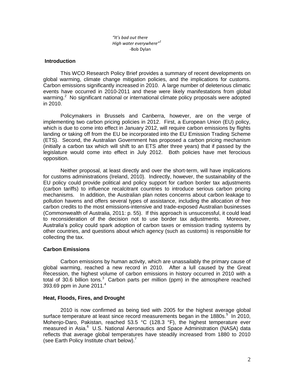*"It's bad out there High water everywhere"<sup>1</sup>* -Bob Dylan

#### **Introduction**

This WCO Research Policy Brief provides a summary of recent developments on global warming, climate change mitigation policies, and the implications for customs. Carbon emissions significantly increased in 2010. A large number of deleterious climatic events have occurred in 2010-2011 and these were likely manifestations from global warming.<sup>2</sup> No significant national or international climate policy proposals were adopted in 2010.

Policymakers in Brussels and Canberra, however, are on the verge of implementing two carbon pricing policies in 2012. First, a European Union (EU) policy, which is due to come into effect in January 2012, will require carbon emissions by flights landing or taking off from the EU be incorporated into the EU Emission Trading Scheme (ETS). Second, the Australian Government has proposed a carbon pricing mechanism (initially a carbon tax which will shift to an ETS after three years) that if passed by the legislature would come into effect in July 2012. Both policies have met ferocious opposition.

Neither proposal, at least directly and over the short-term, will have implications for customs administrations (Ireland, 2010). Indirectly, however, the sustainability of the EU policy could provide political and policy support for carbon border tax adjustments (carbon tariffs) to influence recalcitrant countries to introduce serious carbon pricing mechanisms. In addition, the Australian plan notes concerns about carbon leakage to pollution havens and offers several types of assistance, including the allocation of free carbon credits to the most emissions-intensive and trade-exposed Australian businesses (Commonwealth of Australia, 2011: p. 55). If this approach is unsuccessful, it could lead to reconsideration of the decision not to use border tax adjustments. Moreover, Australia's policy could spark adoption of carbon taxes or emission trading systems by other countries, and questions about which agency (such as customs) is responsible for collecting the tax.

## **Carbon Emissions**

Carbon emissions by human activity, which are unassailably the primary cause of global warming, reached a new record in 2010. After a lull caused by the Great Recession, the highest volume of carbon emissions in history occurred in 2010 with a total of 30.6 billion tons. $3$  Carbon parts per million (ppm) in the atmosphere reached 393.69 ppm in June 2011.<sup>4</sup>

## **Heat, Floods, Fires, and Drought**

2010 is now confirmed as being tied with 2005 for the highest average global surface temperature at least since record measurements began in the 1880s. $5$  In 2010, Mohenjo-Daro, Pakistan, reached 53.5 °C (128.3 °F), the highest temperature ever measured in Asia.<sup>6</sup> U.S. National Aeronautics and Space Administration (NASA) data reflects that average global temperatures have steadily increased from 1880 to 2010 (see Earth Policy Institute chart below). $<sup>7</sup>$ </sup>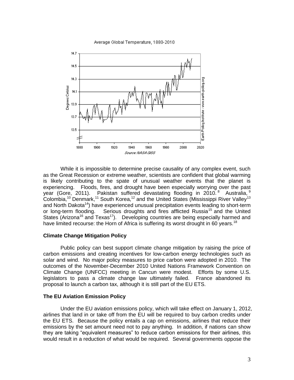

Average Global Temperature, 1880-2010

While it is impossible to determine precise causality of any complex event, such as the Great Recession or extreme weather, scientists are confident that global warming is likely contributing to the spate of unusual weather events that the planet is experiencing. Floods, fires, and drought have been especially worrying over the past year (Gore, 2011). Pakistan suffered devastating flooding in 2010.<sup>8</sup> Australia, <sup>9</sup> Colombia,<sup>10</sup> Denmark,<sup>11</sup> South Korea,<sup>12</sup> and the United States (Mississippi River Valley<sup>13</sup>) and North Dakota<sup>14</sup>) have experienced unusual precipitation events leading to short-term<br>or long-term flooding. Serious droughts and fires afflicted Russia<sup>15</sup> and the United Serious droughts and fires afflicted Russia<sup>15</sup> and the United States (Arizona<sup>16</sup> and Texas<sup>17</sup>). Developing countries are being especially harmed and have limited recourse: the Horn of Africa is suffering its worst drought in 60 years.<sup>18</sup>

## **Climate Change Mitigation Policy**

Public policy can best support climate change mitigation by raising the price of carbon emissions and creating incentives for low-carbon energy technologies such as solar and wind. No major policy measures to price carbon were adopted in 2010. The outcomes of the November-December 2010 United Nations Framework Convention on Climate Change (UNFCC) meeting in Cancun were modest. Efforts by some U.S. legislators to pass a climate change law ultimately failed. France abandoned its proposal to launch a carbon tax, although it is still part of the EU ETS.

## **The EU Aviation Emission Policy**

Under the EU aviation emissions policy, which will take effect on January 1, 2012, airlines that land in or take off from the EU will be required to buy carbon credits under the EU ETS. Because the policy entails a cap on emissions, airlines that reduce their emissions by the set amount need not to pay anything. In addition, if nations can show they are taking "equivalent measures" to reduce carbon emissions for their airlines, this would result in a reduction of what would be required. Several governments oppose the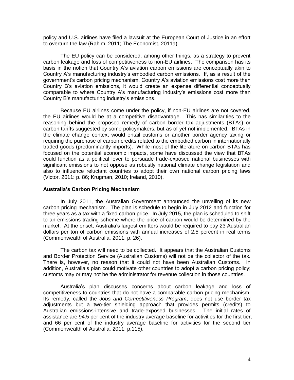policy and U.S. airlines have filed a lawsuit at the European Court of Justice in an effort to overturn the law (Rahim, 2011; The Economist, 2011a).

The EU policy can be considered, among other things, as a strategy to prevent carbon leakage and loss of competitiveness to non-EU airlines. The comparison has its basis in the notion that Country A's aviation carbon emissions are conceptually akin to Country A's manufacturing industry's embodied carbon emissions. If, as a result of the government's carbon pricing mechanism, Country A's aviation emissions cost more than Country B's aviation emissions, it would create an expense differential conceptually comparable to where Country A's manufacturing industry's emissions cost more than Country B's manufacturing industry's emissions.

Because EU airlines come under the policy, if non-EU airlines are not covered, the EU airlines would be at a competitive disadvantage. This has similarities to the reasoning behind the proposed remedy of carbon border tax adjustments (BTAs) or carbon tariffs suggested by some policymakers, but as of yet not implemented. BTAs in the climate change context would entail customs or another border agency taxing or requiring the purchase of carbon credits related to the embodied carbon in internationally traded goods (predominantly imports). While most of the literature on carbon BTAs has focused on the potential economic impacts, some have discussed the view that BTAs could function as a political lever to persuade trade-exposed national businesses with significant emissions to not oppose as robustly national climate change legislation and also to influence reluctant countries to adopt their own national carbon pricing laws (Victor, 2011: p. 86; Krugman, 2010; Ireland, 2010).

#### **Australia's Carbon Pricing Mechanism**

In July 2011, the Australian Government announced the unveiling of its new carbon pricing mechanism. The plan is schedule to begin in July 2012 and function for three years as a tax with a fixed carbon price. In July 2015, the plan is scheduled to shift to an emissions trading scheme where the price of carbon would be determined by the market. At the onset, Australia's largest emitters would be required to pay 23 Australian dollars per ton of carbon emissions with annual increases of 2.5 percent in real terms (Commonwealth of Australia, 2011: p. 26).

The carbon tax will need to be collected. It appears that the Australian Customs and Border Protection Service (Australian Customs) will not be the collector of the tax. There is, however, no reason that it could not have been Australian Customs. In addition, Australia's plan could motivate other countries to adopt a carbon pricing policy; customs may or may not be the administrator for revenue collection in those countries.

Australia's plan discusses concerns about carbon leakage and loss of competitiveness to countries that do not have a comparable carbon pricing mechanism. Its remedy, called the *Jobs and Competitiveness Program*, does not use border tax adjustments but a two-tier shielding approach that provides permits (credits) to Australian emissions-intensive and trade-exposed businesses. The initial rates of assistance are 94.5 per cent of the industry average baseline for activities for the first tier, and 66 per cent of the industry average baseline for activities for the second tier (Commonwealth of Australia, 2011: p.115).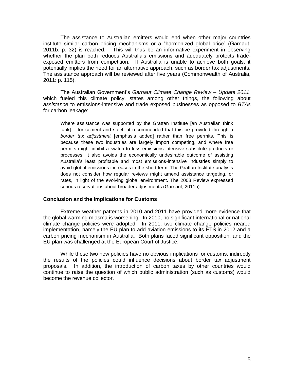The assistance to Australian emitters would end when other major countries institute similar carbon pricing mechanisms or a "harmonized global price" (Garnaut, 2011b: p. 32) is reached. This will thus be an informative experiment in observing whether the plan both reduces Australia's emissions and adequately protects tradeexposed emitters from competition. If Australia is unable to achieve both goals, it potentially implies the need for an alternative approach, such as border tax adjustments. The assistance approach will be reviewed after five years (Commonwealth of Australia, 2011: p. 115).

The Australian Government's *Garnaut Climate Change Review – Update 2011*, which fueled this climate policy, states among other things, the following about *assistance* to emissions-intensive and trade exposed businesses as opposed to *BTAs* for carbon leakage:

Where assistance was supported by the Grattan Institute [an Australian think tank] —for cement and steel—it recommended that this be provided through a *border tax adjustment* [emphasis added] rather than free permits. This is because these two industries are largely import competing, and where free permits might inhibit a switch to less emissions-intensive substitute products or processes. It also avoids the economically undesirable outcome of assisting Australia's least profitable and most emissions-intensive industries simply to avoid global emissions increases in the short term. The Grattan Institute analysis does not consider how regular reviews might amend assistance targeting, or rates, in light of the evolving global environment. The 2008 Review expressed serious reservations about broader adjustments (Garnaut, 2011b).

#### **Conclusion and the Implications for Customs**

Extreme weather patterns in 2010 and 2011 have provided more evidence that the global warming miasma is worsening. In 2010, no significant international or national climate change policies were adopted. In 2011, two climate change policies neared implementation, namely the EU plan to add aviation emissions to its ETS in 2012 and a carbon pricing mechanism in Australia. Both plans faced significant opposition, and the EU plan was challenged at the European Court of Justice.

While these two new policies have no obvious implications for customs, indirectly the results of the policies could influence decisions about border tax adjustment proposals. In addition, the introduction of carbon taxes by other countries would continue to raise the question of which public administration (such as customs) would become the revenue collector.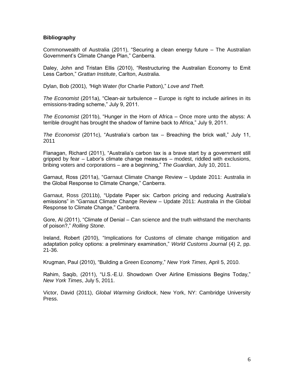# **Bibliography**

Commonwealth of Australia (2011), "Securing a clean energy future  $-$  The Australian Government's Climate Change Plan," Canberra.

Daley, John and Tristan Ellis (2010), "Restructuring the Australian Economy to Emit Less Carbon," Grattan Institute, Carlton, Australia.

Dylan, Bob (2001), "High Water (for Charlie Patton)," Love and Theft.

*The Economist* (2011a), "Clean-air turbulence – Europe is right to include airlines in its emissions-trading scheme," July 9, 2011.

*The Economist* (2011b), "Hunger in the Horn of Africa – Once more unto the abyss: A terrible drought has brought the shadow of famine back to Africa," July 9, 2011.

*The Economist* (2011c), "Australia's carbon tax – Breaching the brick wall," July 11, 2011

Flanagan, Richard (2011), "Australia's carbon tax is a brave start by a government still gripped by fear – Labor's climate change measures – modest, riddled with exclusions, bribing voters and corporations – are a beginning,‖ *The Guardian*, July 10, 2011.

Garnaut, Ross (2011a), "Garnaut Climate Change Review - Update 2011: Australia in the Global Response to Climate Change," Canberra.

Garnaut, Ross (2011b), "Update Paper six: Carbon pricing and reducing Australia's emissions" in "Garnaut Climate Change Review – Update 2011: Australia in the Global Response to Climate Change," Canberra.

Gore, AI (2011), "Climate of Denial – Can science and the truth withstand the merchants of poison?,‖ *Rolling Stone*.

Ireland, Robert (2010), "Implications for Customs of climate change mitigation and adaptation policy options: a preliminary examination,‖ *World Customs Journal* (4) 2, pp. 21-36.

Krugman, Paul (2010), "Building a Green Economy," New York Times, April 5, 2010.

Rahim, Saqib, (2011), "U.S.-E.U. Showdown Over Airline Emissions Begins Today," *New York Times*, July 5, 2011.

Victor, David (2011), *Global Warming Gridlock*, New York, NY: Cambridge University Press.